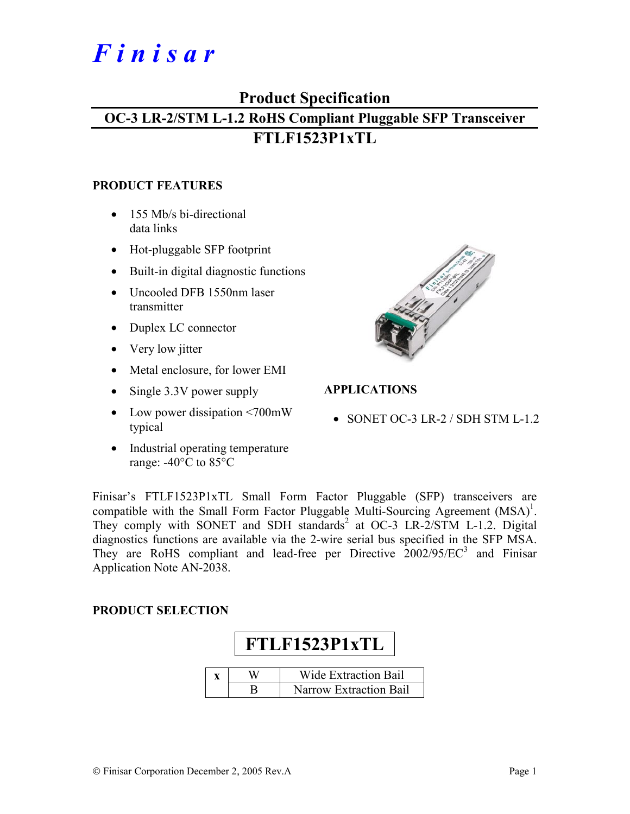# *F i n i s a r*

## **Product Specification**

# **OC-3 LR-2/STM L-1.2 RoHS Compliant Pluggable SFP Transceiver FTLF1523P1xTL**

#### **PRODUCT FEATURES**

- 155 Mb/s bi-directional data links
- Hot-pluggable SFP footprint
- Built-in digital diagnostic functions
- Uncooled DFB 1550nm laser transmitter
- Duplex LC connector
- Very low jitter
- Metal enclosure, for lower EMI
- Single 3.3V power supply
- Low power dissipation <700mW typical
- Industrial operating temperature range: -40°C to 85°C



#### **APPLICATIONS**

• SONET OC-3 LR-2 / SDH STM L-1.2

Finisar's FTLF1523P1xTL Small Form Factor Pluggable (SFP) transceivers are compatible with the Small Form Factor Pluggable Multi-Sourcing Agreement  $(MSA)^1$ . They comply with SONET and SDH standards<sup>2</sup> at OC-3 LR-2/STM L-1.2. Digital diagnostics functions are available via the 2-wire serial bus specified in the SFP MSA. They are RoHS compliant and lead-free per Directive  $2002/95/EC^3$  and Finisar Application Note AN-2038.

#### **PRODUCT SELECTION**

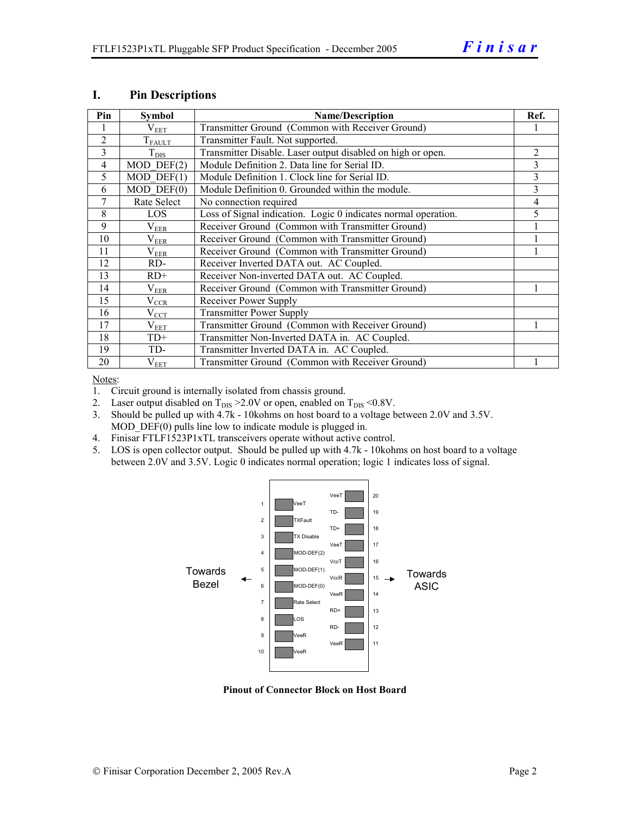| Pin            | <b>Symbol</b>           | <b>Name/Description</b>                                        | Ref.           |
|----------------|-------------------------|----------------------------------------------------------------|----------------|
|                | $\rm V_{EET}$           | Transmitter Ground (Common with Receiver Ground)               |                |
| $\overline{2}$ | $T_{FAULT}$             | Transmitter Fault. Not supported.                              |                |
| 3              | $T_{\rm DIS}$           | Transmitter Disable. Laser output disabled on high or open.    | $\overline{2}$ |
| $\overline{4}$ | $MOD$ DEF $(2)$         | Module Definition 2. Data line for Serial ID.                  | 3              |
| 5              | $\overline{MOD}$ DEF(1) | Module Definition 1. Clock line for Serial ID.                 | 3              |
| 6              | $MOD$ $DEF(0)$          | Module Definition 0. Grounded within the module.               | 3              |
| $\tau$         | Rate Select             | No connection required                                         | 4              |
| 8              | LOS                     | Loss of Signal indication. Logic 0 indicates normal operation. | 5              |
| 9              | $\rm V_{EER}$           | Receiver Ground (Common with Transmitter Ground)               |                |
| 10             | $\rm V_{EER}$           | Receiver Ground (Common with Transmitter Ground)               |                |
| 11             | $\rm V_{EER}$           | Receiver Ground (Common with Transmitter Ground)               |                |
| 12             | RD-                     | Receiver Inverted DATA out. AC Coupled.                        |                |
| 13             | $RD+$                   | Receiver Non-inverted DATA out. AC Coupled.                    |                |
| 14             | $\rm V_{EER}$           | Receiver Ground (Common with Transmitter Ground)               |                |
| 15             | $V_{CCR}$               | Receiver Power Supply                                          |                |
| 16             | $V_{CCT}$               | <b>Transmitter Power Supply</b>                                |                |
| 17             | $\rm V_{EET}$           | Transmitter Ground (Common with Receiver Ground)               |                |
| 18             | $TD+$                   | Transmitter Non-Inverted DATA in. AC Coupled.                  |                |
| 19             | TD-                     | Transmitter Inverted DATA in. AC Coupled.                      |                |
| 20             | $V_{EET}$               | Transmitter Ground (Common with Receiver Ground)               |                |

#### **I. Pin Descriptions**

Notes:

1. Circuit ground is internally isolated from chassis ground.

- 2. Laser output disabled on  $T_{DIS} > 2.0V$  or open, enabled on  $T_{DIS} < 0.8V$ .
- 3. Should be pulled up with 4.7k 10kohms on host board to a voltage between 2.0V and 3.5V. MOD DEF(0) pulls line low to indicate module is plugged in.
- 4. Finisar FTLF1523P1xTL transceivers operate without active control.
- 5. LOS is open collector output. Should be pulled up with 4.7k 10kohms on host board to a voltage between 2.0V and 3.5V. Logic 0 indicates normal operation; logic 1 indicates loss of signal.



**Pinout of Connector Block on Host Board**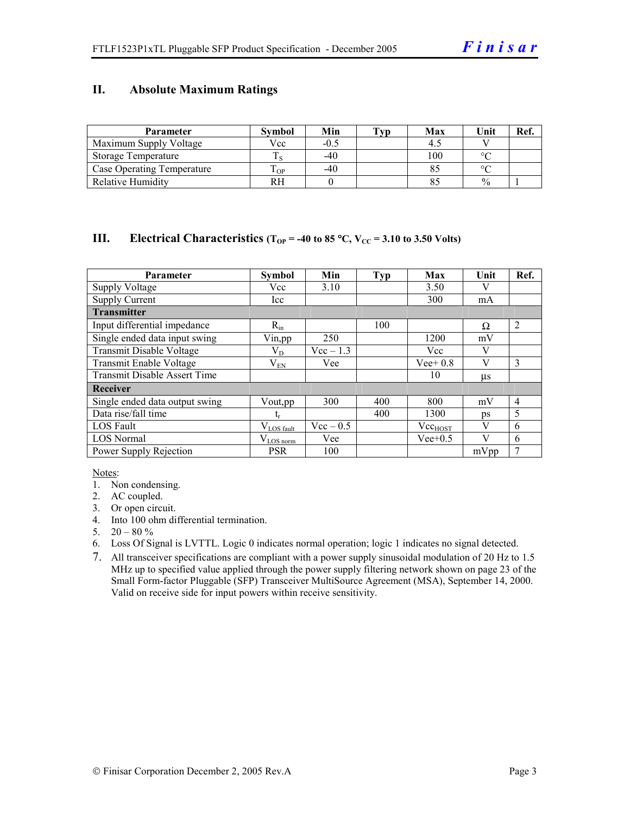#### **II. Absolute Maximum Ratings**

| <b>Parameter</b>                  | <b>Symbol</b> | Min    | Tvp | Max | Unit          | Ref. |
|-----------------------------------|---------------|--------|-----|-----|---------------|------|
| Maximum Supply Voltage            | Vcc           | $-0.5$ |     |     |               |      |
| Storage Temperature               |               | $-40$  |     | 100 | $\circ$       |      |
| <b>Case Operating Temperature</b> | m<br>OP.      | $-40$  |     |     | $\sim$        |      |
| <b>Relative Humidity</b>          | RН            |        |     |     | $\frac{0}{0}$ |      |

#### **III.** Electrical Characteristics ( $T_{OP}$  = -40 to 85 °C,  $V_{CC}$  = 3.10 to 3.50 Volts)

| <b>Parameter</b>                    | <b>Symbol</b>          | Min         | <b>Typ</b> | Max          | Unit    | Ref.           |
|-------------------------------------|------------------------|-------------|------------|--------------|---------|----------------|
| <b>Supply Voltage</b>               | Vcc                    | 3.10        |            | 3.50         |         |                |
| <b>Supply Current</b>               | Icc                    |             |            | 300          | mA      |                |
| <b>Transmitter</b>                  |                        |             |            |              |         |                |
| Input differential impedance        | $R_{in}$               |             | 100        |              | Ω       | $\overline{2}$ |
| Single ended data input swing       | Vin, pp                | 250         |            | 1200         | mV      |                |
| Transmit Disable Voltage            | $\rm V_{D}$            | $Vec-1.3$   |            | Vcc          | V       |                |
| Transmit Enable Voltage             | $\rm V_{EN}$           | Vee         |            | $Vee+0.8$    | V       | 3              |
| <b>Transmit Disable Assert Time</b> |                        |             |            | 10           | $\mu$ s |                |
| Receiver                            |                        |             |            |              |         |                |
| Single ended data output swing      | Vout, pp.              | 300         | 400        | 800          | mV      | $\overline{4}$ |
| Data rise/fall time                 | t,                     |             | 400        | 1300         | ps      | 5              |
| <b>LOS</b> Fault                    | $V_{\text{LOS}}$ fault | $Vec - 0.5$ |            | $Vec_{HOST}$ | V       | 6              |
| <b>LOS Normal</b>                   | $V_{LOS\,norm}$        | Vee         |            | $Vee+0.5$    | V       | 6              |
| Power Supply Rejection              | <b>PSR</b>             | 100         |            |              | mVpp    | 7              |

Notes:

- 1. Non condensing.
- 2. AC coupled.
- 3. Or open circuit.
- 4. Into 100 ohm differential termination.
- 5.  $20 80 \%$
- 6. Loss Of Signal is LVTTL. Logic 0 indicates normal operation; logic 1 indicates no signal detected.
- 7. All transceiver specifications are compliant with a power supply sinusoidal modulation of 20 Hz to 1.5 MHz up to specified value applied through the power supply filtering network shown on page 23 of the Small Form-factor Pluggable (SFP) Transceiver MultiSource Agreement (MSA), September 14, 2000. Valid on receive side for input powers within receive sensitivity.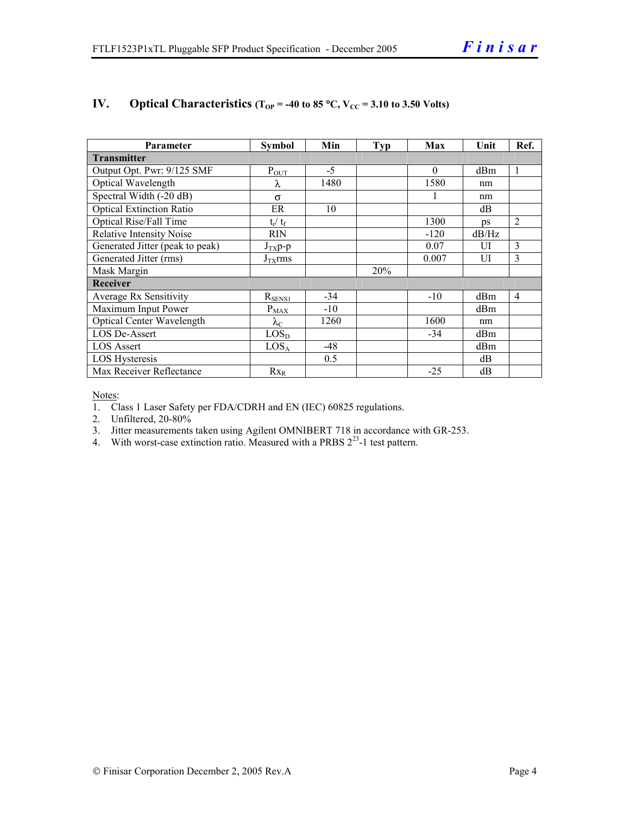| Parameter                        | <b>Symbol</b>     | Min   | Typ | Max      | Unit       | Ref.           |  |
|----------------------------------|-------------------|-------|-----|----------|------------|----------------|--|
| <b>Transmitter</b>               |                   |       |     |          |            |                |  |
| Output Opt. Pwr: 9/125 SMF       | $P_{OUT}$         | $-5$  |     | $\theta$ | dBm        | 1              |  |
| Optical Wavelength               | λ                 | 1480  |     | 1580     | nm         |                |  |
| Spectral Width (-20 dB)          | $\sigma$          |       |     |          | nm         |                |  |
| <b>Optical Extinction Ratio</b>  | ER                | 10    |     |          | dB         |                |  |
| <b>Optical Rise/Fall Time</b>    | $t_r / t_f$       |       |     | 1300     | $\n  DS\n$ | $\overline{2}$ |  |
| <b>Relative Intensity Noise</b>  | <b>RIN</b>        |       |     | $-120$   | dB/Hz      |                |  |
| Generated Jitter (peak to peak)  | $J_{TX}p-p$       |       |     | 0.07     | UI         | 3              |  |
| Generated Jitter (rms)           | $J_{TX}$ rms      |       |     | 0.007    | UI         | 3              |  |
| Mask Margin                      |                   |       | 20% |          |            |                |  |
| <b>Receiver</b>                  |                   |       |     |          |            |                |  |
| Average Rx Sensitivity           | $R_{SENS1}$       | $-34$ |     | $-10$    | dBm        | 4              |  |
| Maximum Input Power              | $P_{\text{MAX}}$  | $-10$ |     |          | dBm        |                |  |
| <b>Optical Center Wavelength</b> | $\lambda_{\rm C}$ | 1260  |     | 1600     | nm         |                |  |
| LOS De-Assert                    | LOS <sub>D</sub>  |       |     | $-34$    | dBm        |                |  |
| <b>LOS</b> Assert                | LOS <sub>A</sub>  | $-48$ |     |          | dBm        |                |  |
| <b>LOS Hysteresis</b>            |                   | 0.5   |     |          | dB         |                |  |
| Max Receiver Reflectance         | $Rx_R$            |       |     | $-25$    | dB         |                |  |

#### **IV.** Optical Characteristics ( $T_{OP}$  = -40 to 85 °C,  $V_{CC}$  = 3.10 to 3.50 Volts)

Notes:

1. Class 1 Laser Safety per FDA/CDRH and EN (IEC) 60825 regulations.

2. Unfiltered, 20-80%

- 3. Jitter measurements taken using Agilent OMNIBERT 718 in accordance with GR-253.
- 4. With worst-case extinction ratio. Measured with a PRBS  $2^{23}$ -1 test pattern.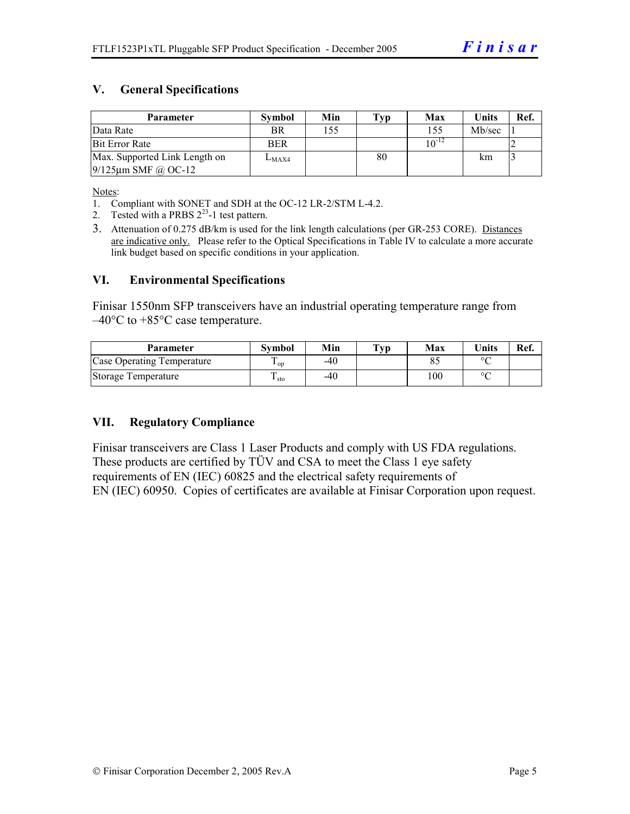#### **V. General Specifications**

| Parameter                     | <b>Symbol</b> | Min | Typ | Max        | <b>Units</b> | Ref. |
|-------------------------------|---------------|-----|-----|------------|--------------|------|
| Data Rate                     | <b>BR</b>     | 155 |     | 155        | Mb/sec       |      |
| <b>Bit Error Rate</b>         | <b>BER</b>    |     |     | $10^{-12}$ |              |      |
| Max. Supported Link Length on | $L_{MAX4}$    |     | 80  |            | km           |      |
| $9/125$ µm SMF @ OC-12        |               |     |     |            |              |      |

Notes:

- 1. Compliant with SONET and SDH at the OC-12 LR-2/STM L-4.2.
- 2. Tested with a PRBS  $2^{23}$ -1 test pattern.
- 3. Attenuation of 0.275 dB/km is used for the link length calculations (per GR-253 CORE). Distances are indicative only. Please refer to the Optical Specifications in Table IV to calculate a more accurate link budget based on specific conditions in your application.

#### **VI. Environmental Specifications**

Finisar 1550nm SFP transceivers have an industrial operating temperature range from –40°C to +85°C case temperature.

| Parameter                  | Svmbol | Min | $\mathbf{T}_{\mathbf{V}\mathbf{p}}$ | Max | <b>Units</b> | Ref. |
|----------------------------|--------|-----|-------------------------------------|-----|--------------|------|
| Case Operating Temperature | ' op   | -40 |                                     |     | $\circ$      |      |
| Storage Temperature        | ⊥ sto  | -40 |                                     | 100 | $\sim$       |      |

#### **VII. Regulatory Compliance**

Finisar transceivers are Class 1 Laser Products and comply with US FDA regulations. These products are certified by TÜV and CSA to meet the Class 1 eye safety requirements of EN (IEC) 60825 and the electrical safety requirements of EN (IEC) 60950. Copies of certificates are available at Finisar Corporation upon request.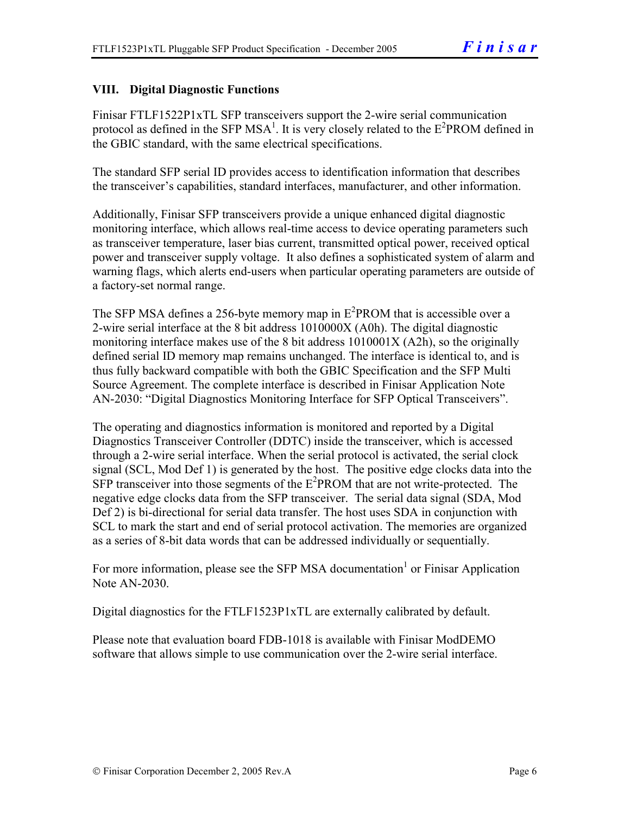#### **VIII. Digital Diagnostic Functions**

Finisar FTLF1522P1xTL SFP transceivers support the 2-wire serial communication protocol as defined in the SFP MSA<sup>1</sup>. It is very closely related to the  $E^2$ PROM defined in the GBIC standard, with the same electrical specifications.

The standard SFP serial ID provides access to identification information that describes the transceiver's capabilities, standard interfaces, manufacturer, and other information.

Additionally, Finisar SFP transceivers provide a unique enhanced digital diagnostic monitoring interface, which allows real-time access to device operating parameters such as transceiver temperature, laser bias current, transmitted optical power, received optical power and transceiver supply voltage. It also defines a sophisticated system of alarm and warning flags, which alerts end-users when particular operating parameters are outside of a factory-set normal range.

The SFP MSA defines a 256-byte memory map in  $E^2$ PROM that is accessible over a 2-wire serial interface at the 8 bit address 1010000X (A0h). The digital diagnostic monitoring interface makes use of the 8 bit address 1010001X (A2h), so the originally defined serial ID memory map remains unchanged. The interface is identical to, and is thus fully backward compatible with both the GBIC Specification and the SFP Multi Source Agreement. The complete interface is described in Finisar Application Note AN-2030: "Digital Diagnostics Monitoring Interface for SFP Optical Transceivers".

The operating and diagnostics information is monitored and reported by a Digital Diagnostics Transceiver Controller (DDTC) inside the transceiver, which is accessed through a 2-wire serial interface. When the serial protocol is activated, the serial clock signal (SCL, Mod Def 1) is generated by the host. The positive edge clocks data into the  $SFP$  transceiver into those segments of the  $E^2$ PROM that are not write-protected. The negative edge clocks data from the SFP transceiver. The serial data signal (SDA, Mod Def 2) is bi-directional for serial data transfer. The host uses SDA in conjunction with SCL to mark the start and end of serial protocol activation. The memories are organized as a series of 8-bit data words that can be addressed individually or sequentially.

For more information, please see the SFP MSA documentation<sup>1</sup> or Finisar Application Note AN-2030.

Digital diagnostics for the FTLF1523P1xTL are externally calibrated by default.

Please note that evaluation board FDB-1018 is available with Finisar ModDEMO software that allows simple to use communication over the 2-wire serial interface.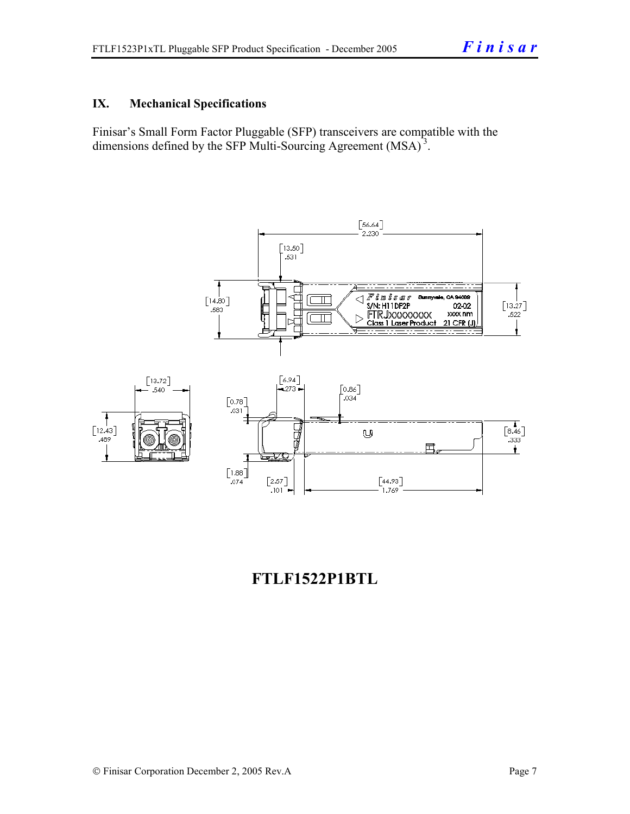#### **IX. Mechanical Specifications**

Finisar's Small Form Factor Pluggable (SFP) transceivers are compatible with the dimensions defined by the SFP Multi-Sourcing Agreement (MSA)<sup>3</sup>.



## **FTLF1522P1BTL**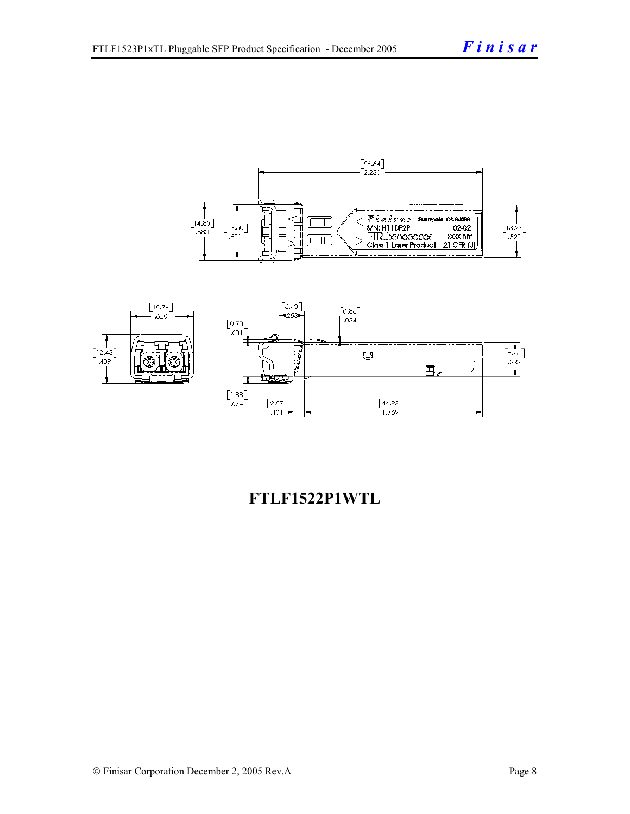



## **FTLF1522P1WTL**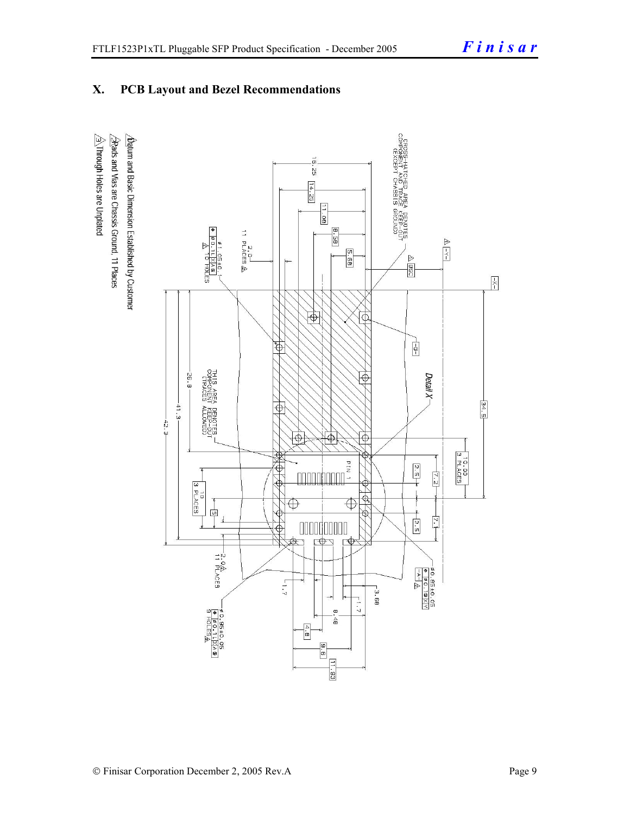### **X. PCB Layout and Bezel Recommendations**

 $\hat{\triangle}$ Through Holes are Unplated  $\Delta$ atum and Basic Dimension Established by Customer  $\triangle$ Rads and Vias are Chassis Ground, 11 Places

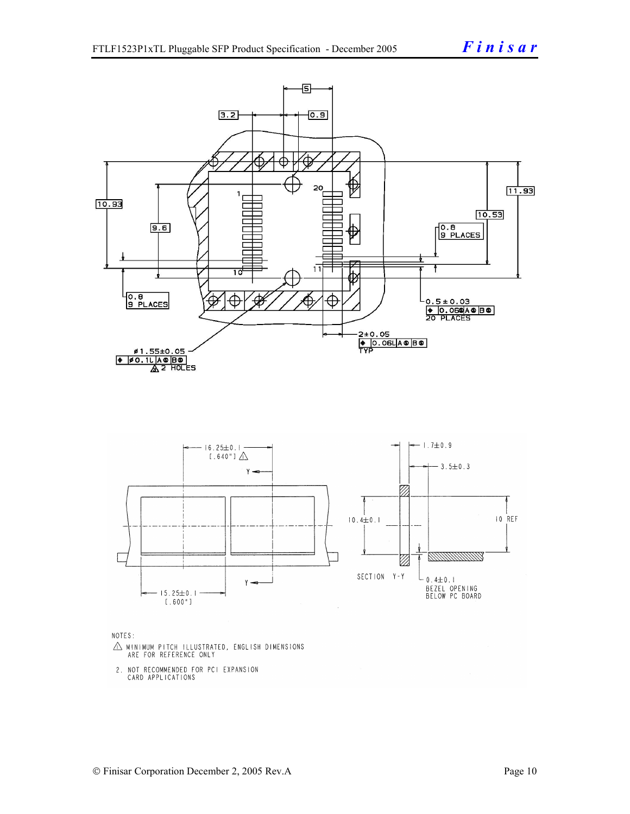

NOTES:

- $\triangle$  MINIMUM PITCH ILLUSTRATED, ENGLISH DIMENSIONS ARE FOR REFERENCE ONLY
- 2. NOT RECOMMENDED FOR PCI EXPANSION CARD APPLICATIONS